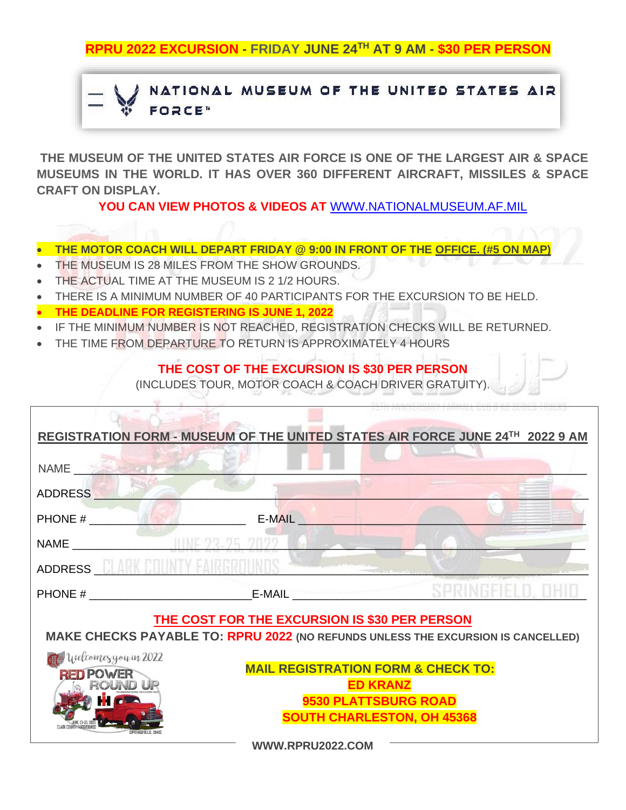**RPRU 2022 EXCURSION - FRIDAY JUNE 24TH AT 9 AM - \$30 PER PERSON**

## NATIONAL MUSEUM OF THE UNITED STATES AIR **FORCE**<sup>N</sup>

**THE MUSEUM OF THE UNITED STATES AIR FORCE IS ONE OF THE LARGEST AIR & SPACE MUSEUMS IN THE WORLD. IT HAS OVER 360 DIFFERENT AIRCRAFT, MISSILES & SPACE CRAFT ON DISPLAY.** 

**YOU CAN VIEW PHOTOS & VIDEOS AT** [WWW.NATIONALMUSEUM.AF.MIL](http://www.nationalmuseum.af.mil/)

- **THE MOTOR COACH WILL DEPART FRIDAY @ 9:00 IN FRONT OF THE OFFICE. (#5 ON MAP)**
- THE MUSEUM IS 28 MILES FROM THE SHOW GROUNDS.
- THE ACTUAL TIME AT THE MUSEUM IS 2 1/2 HOURS.
- THERE IS A MINIMUM NUMBER OF 40 PARTICIPANTS FOR THE EXCURSION TO BE HELD.
- **THE DEADLINE FOR REGISTERING IS JUNE 1, 2022**
- IF THE MINIMUM NUMBER IS NOT REACHED, REGISTRATION CHECKS WILL BE RETURNED.
- THE TIME FROM DEPARTURE TO RETURN IS APPROXIMATELY 4 HOURS

## **THE COST OF THE EXCURSION IS \$30 PER PERSON**

(INCLUDES TOUR, MOTOR COACH & COACH DRIVER GRATUITY).

|                                                                                  |                                                           | REGISTRATION FORM - MUSEUM OF THE UNITED STATES AIR FORCE JUNE 24TH 2022 9 AM |  |
|----------------------------------------------------------------------------------|-----------------------------------------------------------|-------------------------------------------------------------------------------|--|
| <b>NAME</b>                                                                      |                                                           |                                                                               |  |
| ADDRESS                                                                          |                                                           |                                                                               |  |
| PHONE #                                                                          | E-MAIL <b>E-MAIL</b>                                      |                                                                               |  |
|                                                                                  |                                                           |                                                                               |  |
| ADDRESS AND AND                                                                  |                                                           |                                                                               |  |
| PHONE # E-MAIL                                                                   |                                                           |                                                                               |  |
| THE COST FOR THE EXCURSION IS \$30 PER PERSON                                    |                                                           |                                                                               |  |
| MAKE CHECKS PAYABLE TO: RPRU 2022 (NO REFUNDS UNLESS THE EXCURSION IS CANCELLED) |                                                           |                                                                               |  |
| Welcomesyou in 2022                                                              |                                                           |                                                                               |  |
| <b>RED POWER</b>                                                                 | <b>MAIL REGISTRATION FORM &amp; CHECK TO:</b>             |                                                                               |  |
|                                                                                  | <b>ED KRANZ</b>                                           |                                                                               |  |
|                                                                                  | 9530 PLATTSBURG ROAD<br><b>SOUTH CHARLESTON, OH 45368</b> |                                                                               |  |
|                                                                                  |                                                           |                                                                               |  |
| WWW.RPRU2022.COM                                                                 |                                                           |                                                                               |  |